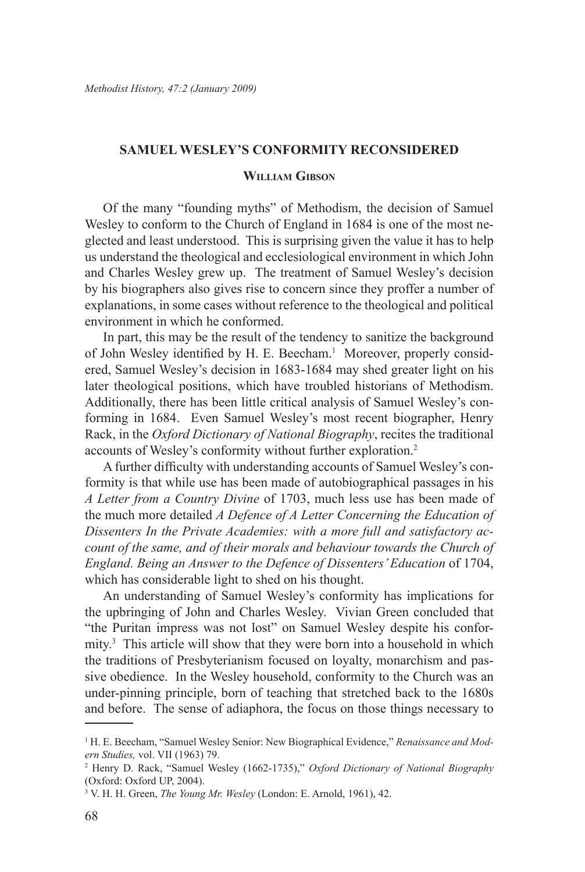## **SAMUEL WESLEY'S CONFORMITY RECONSIDERED**

## **William Gibson**

Of the many "founding myths" of Methodism, the decision of Samuel Wesley to conform to the Church of England in 1684 is one of the most neglected and least understood. This is surprising given the value it has to help us understand the theological and ecclesiological environment in which John and Charles Wesley grew up. The treatment of Samuel Wesley's decision by his biographers also gives rise to concern since they proffer a number of explanations, in some cases without reference to the theological and political environment in which he conformed.

In part, this may be the result of the tendency to sanitize the background of John Wesley identified by H. E. Beecham.<sup>1</sup> Moreover, properly considered, Samuel Wesley's decision in 1683-1684 may shed greater light on his later theological positions, which have troubled historians of Methodism. Additionally, there has been little critical analysis of Samuel Wesley's conforming in 1684. Even Samuel Wesley's most recent biographer, Henry Rack, in the *Oxford Dictionary of National Biography*, recites the traditional accounts of Wesley's conformity without further exploration.2

A further difficulty with understanding accounts of Samuel Wesley's conformity is that while use has been made of autobiographical passages in his *A Letter from a Country Divine* of 1703, much less use has been made of the much more detailed *A Defence of A Letter Concerning the Education of Dissenters In the Private Academies: with a more full and satisfactory account of the same, and of their morals and behaviour towards the Church of England. Being an Answer to the Defence of Dissenters' Education* of 1704, which has considerable light to shed on his thought.

An understanding of Samuel Wesley's conformity has implications for the upbringing of John and Charles Wesley. Vivian Green concluded that "the Puritan impress was not lost" on Samuel Wesley despite his conformity.<sup>3</sup> This article will show that they were born into a household in which the traditions of Presbyterianism focused on loyalty, monarchism and passive obedience. In the Wesley household, conformity to the Church was an under-pinning principle, born of teaching that stretched back to the 1680s and before. The sense of adiaphora, the focus on those things necessary to

<sup>&</sup>lt;sup>1</sup> H. E. Beecham, "Samuel Wesley Senior: New Biographical Evidence," *Renaissance and Modern Studies,* vol. VII (1963) 79.

<sup>2</sup> Henry D. Rack, "Samuel Wesley (1662-1735)," *Oxford Dictionary of National Biography* (Oxford: Oxford UP, 2004).

<sup>3</sup> V. H. H. Green, *The Young Mr. Wesley* (London: E. Arnold, 1961), 42.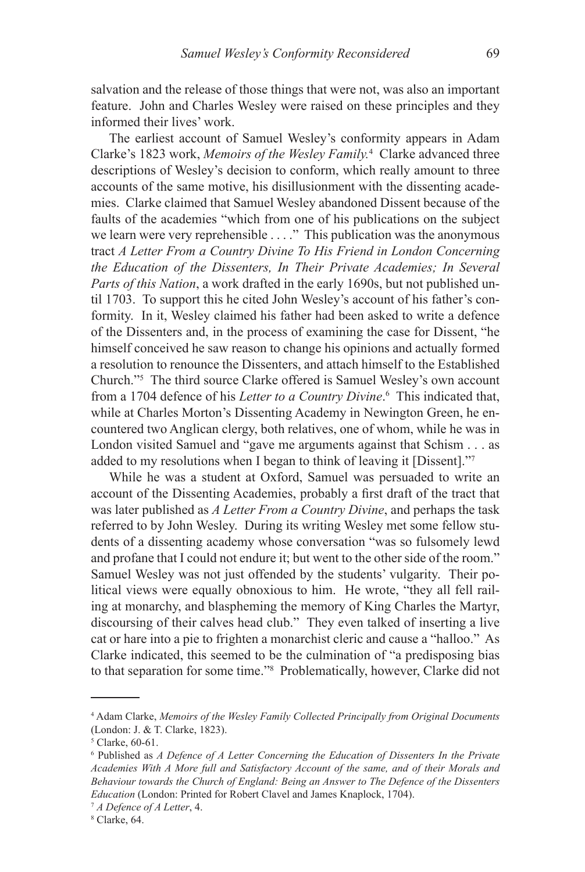salvation and the release of those things that were not, was also an important feature. John and Charles Wesley were raised on these principles and they informed their lives' work.

The earliest account of Samuel Wesley's conformity appears in Adam Clarke's 1823 work, Memoirs of the Wesley Family.<sup>4</sup> Clarke advanced three descriptions of Wesley's decision to conform, which really amount to three accounts of the same motive, his disillusionment with the dissenting academies. Clarke claimed that Samuel Wesley abandoned Dissent because of the faults of the academies "which from one of his publications on the subject we learn were very reprehensible . . . ." This publication was the anonymous tract *A Letter From a Country Divine To His Friend in London Concerning the Education of the Dissenters, In Their Private Academies; In Several Parts of this Nation*, a work drafted in the early 1690s, but not published until 1703. To support this he cited John Wesley's account of his father's conformity. In it, Wesley claimed his father had been asked to write a defence of the Dissenters and, in the process of examining the case for Dissent, "he himself conceived he saw reason to change his opinions and actually formed a resolution to renounce the Dissenters, and attach himself to the Established Church."5 The third source Clarke offered is Samuel Wesley's own account from a 1704 defence of his *Letter to a Country Divine*. 6 This indicated that, while at Charles Morton's Dissenting Academy in Newington Green, he encountered two Anglican clergy, both relatives, one of whom, while he was in London visited Samuel and "gave me arguments against that Schism . . . as added to my resolutions when I began to think of leaving it [Dissent]."7

While he was a student at Oxford, Samuel was persuaded to write an account of the Dissenting Academies, probably a first draft of the tract that was later published as *A Letter From a Country Divine*, and perhaps the task referred to by John Wesley. During its writing Wesley met some fellow students of a dissenting academy whose conversation "was so fulsomely lewd and profane that I could not endure it; but went to the other side of the room." Samuel Wesley was not just offended by the students' vulgarity. Their political views were equally obnoxious to him. He wrote, "they all fell railing at monarchy, and blaspheming the memory of King Charles the Martyr, discoursing of their calves head club." They even talked of inserting a live cat or hare into a pie to frighten a monarchist cleric and cause a "halloo." As Clarke indicated, this seemed to be the culmination of "a predisposing bias to that separation for some time."8 Problematically, however, Clarke did not

<sup>4</sup> Adam Clarke, *Memoirs of the Wesley Family Collected Principally from Original Documents* (London: J. & T. Clarke, 1823).

<sup>5</sup> Clarke, 60-61.

<sup>&</sup>lt;sup>6</sup> Published as *A Defence of A Letter Concerning the Education of Dissenters In the Private Academies With A More full and Satisfactory Account of the same, and of their Morals and Behaviour towards the Church of England: Being an Answer to The Defence of the Dissenters Education* (London: Printed for Robert Clavel and James Knaplock, 1704).

<sup>7</sup> *A Defence of A Letter*, 4.

<sup>8</sup> Clarke, 64.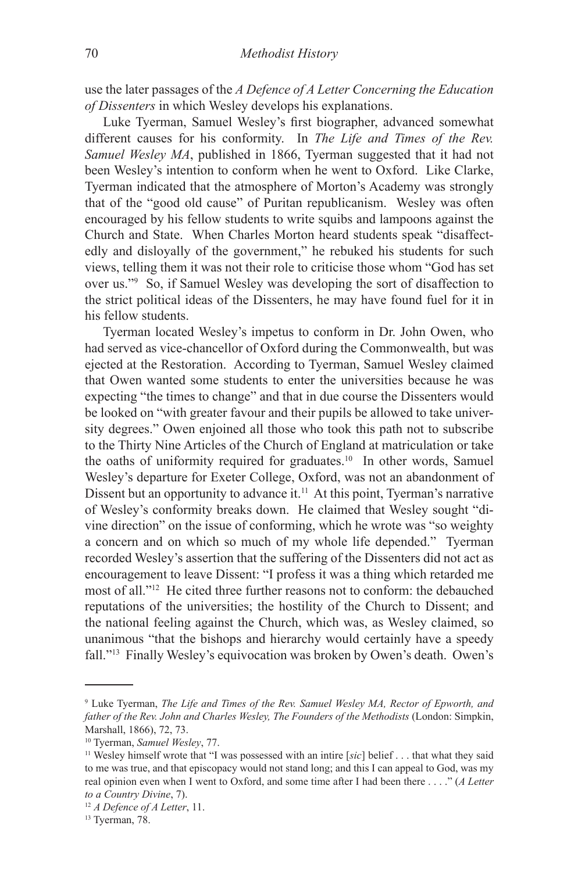use the later passages of the *A Defence of A Letter Concerning the Education of Dissenters* in which Wesley develops his explanations.

Luke Tyerman, Samuel Wesley's first biographer, advanced somewhat different causes for his conformity. In *The Life and Times of the Rev. Samuel Wesley MA*, published in 1866, Tyerman suggested that it had not been Wesley's intention to conform when he went to Oxford. Like Clarke, Tyerman indicated that the atmosphere of Morton's Academy was strongly that of the "good old cause" of Puritan republicanism. Wesley was often encouraged by his fellow students to write squibs and lampoons against the Church and State. When Charles Morton heard students speak "disaffectedly and disloyally of the government," he rebuked his students for such views, telling them it was not their role to criticise those whom "God has set over us."9 So, if Samuel Wesley was developing the sort of disaffection to the strict political ideas of the Dissenters, he may have found fuel for it in his fellow students.

Tyerman located Wesley's impetus to conform in Dr. John Owen, who had served as vice-chancellor of Oxford during the Commonwealth, but was ejected at the Restoration. According to Tyerman, Samuel Wesley claimed that Owen wanted some students to enter the universities because he was expecting "the times to change" and that in due course the Dissenters would be looked on "with greater favour and their pupils be allowed to take university degrees." Owen enjoined all those who took this path not to subscribe to the Thirty Nine Articles of the Church of England at matriculation or take the oaths of uniformity required for graduates.<sup>10</sup> In other words, Samuel Wesley's departure for Exeter College, Oxford, was not an abandonment of Dissent but an opportunity to advance it.<sup>11</sup> At this point, Tyerman's narrative of Wesley's conformity breaks down. He claimed that Wesley sought "divine direction" on the issue of conforming, which he wrote was "so weighty a concern and on which so much of my whole life depended." Tyerman recorded Wesley's assertion that the suffering of the Dissenters did not act as encouragement to leave Dissent: "I profess it was a thing which retarded me most of all."12 He cited three further reasons not to conform: the debauched reputations of the universities; the hostility of the Church to Dissent; and the national feeling against the Church, which was, as Wesley claimed, so unanimous "that the bishops and hierarchy would certainly have a speedy fall."13 Finally Wesley's equivocation was broken by Owen's death. Owen's

<sup>9</sup> Luke Tyerman, *The Life and Times of the Rev. Samuel Wesley MA, Rector of Epworth, and*  father of the Rev. John and Charles Wesley, The Founders of the Methodists (London: Simpkin, Marshall, 1866), 72, 73.

<sup>&</sup>lt;sup>10</sup> Tyerman, *Samuel Wesley*, 77.<br><sup>11</sup> Wesley himself wrote that "I was possessed with an intire [*sic*] belief . . . that what they said to me was true, and that episcopacy would not stand long; and this I can appeal to God, was my real opinion even when I went to Oxford, and some time after I had been there . . . ." (*A Letter to a Country Divine*, 7).

<sup>12</sup> *A Defence of A Letter*, 11.

<sup>&</sup>lt;sup>13</sup> Tyerman, 78.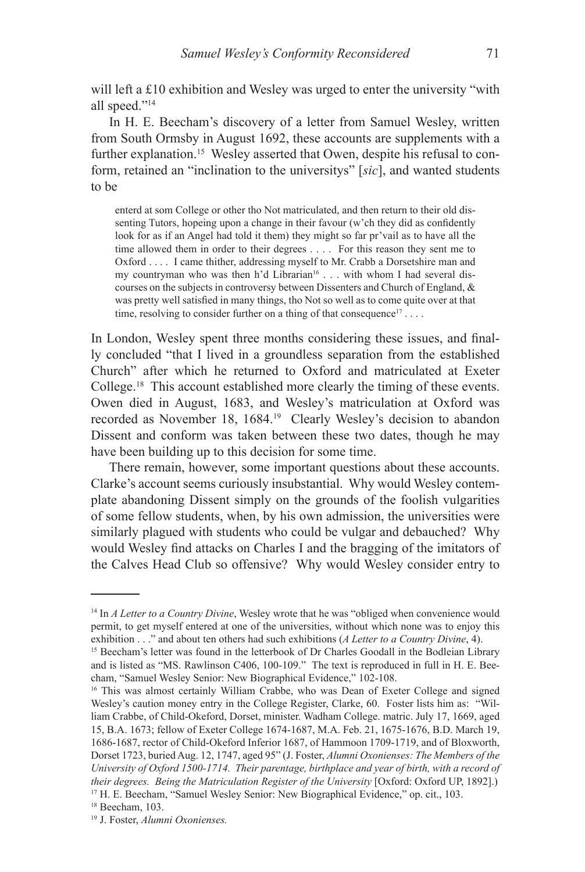will left a £10 exhibition and Wesley was urged to enter the university "with all speed."14

In H. E. Beecham's discovery of a letter from Samuel Wesley, written from South Ormsby in August 1692, these accounts are supplements with a further explanation.<sup>15</sup> Wesley asserted that Owen, despite his refusal to conform, retained an "inclination to the universitys" [*sic*], and wanted students to be

enterd at som College or other tho Not matriculated, and then return to their old dissenting Tutors, hopeing upon a change in their favour (w'ch they did as confidently look for as if an Angel had told it them) they might so far pr'vail as to have all the time allowed them in order to their degrees . . . . For this reason they sent me to Oxford . . . . I came thither, addressing myself to Mr. Crabb a Dorsetshire man and my countryman who was then h'd Librarian<sup>16</sup> . . . with whom I had several discourses on the subjects in controversy between Dissenters and Church of England, & was pretty well satisfied in many things, tho Not so well as to come quite over at that time, resolving to consider further on a thing of that consequence<sup>17</sup> ...

In London, Wesley spent three months considering these issues, and finally concluded "that I lived in a groundless separation from the established Church" after which he returned to Oxford and matriculated at Exeter College.18 This account established more clearly the timing of these events. Owen died in August, 1683, and Wesley's matriculation at Oxford was recorded as November 18, 1684.<sup>19</sup> Clearly Wesley's decision to abandon Dissent and conform was taken between these two dates, though he may have been building up to this decision for some time.

There remain, however, some important questions about these accounts. Clarke's account seems curiously insubstantial. Why would Wesley contemplate abandoning Dissent simply on the grounds of the foolish vulgarities of some fellow students, when, by his own admission, the universities were similarly plagued with students who could be vulgar and debauched? Why would Wesley find attacks on Charles I and the bragging of the imitators of the Calves Head Club so offensive? Why would Wesley consider entry to

<sup>14</sup> In *A Letter to a Country Divine*, Wesley wrote that he was "obliged when convenience would permit, to get myself entered at one of the universities, without which none was to enjoy this exhibition . . ." and about ten others had such exhibitions (*A Letter to a Country Divine*, 4).

<sup>&</sup>lt;sup>15</sup> Beecham's letter was found in the letterbook of Dr Charles Goodall in the Bodleian Library and is listed as "MS. Rawlinson C406, 100-109." The text is reproduced in full in H. E. Beecham, "Samuel Wesley Senior: New Biographical Evidence," 102-108.

<sup>&</sup>lt;sup>16</sup> This was almost certainly William Crabbe, who was Dean of Exeter College and signed Wesley's caution money entry in the College Register, Clarke, 60. Foster lists him as: "William Crabbe, of Child-Okeford, Dorset, minister. Wadham College. matric. July 17, 1669, aged 15, B.A. 1673; fellow of Exeter College 1674-1687, M.A. Feb. 21, 1675-1676, B.D. March 19, 1686-1687, rector of Child-Okeford Inferior 1687, of Hammoon 1709-1719, and of Bloxworth, Dorset 1723, buried Aug. 12, 1747, aged 95" (J. Foster, *Alumni Oxonienses: The Members of the University of Oxford 1500-1714. Their parentage, birthplace and year of birth, with a record of their degrees. Being the Matriculation Register of the University* [Oxford: Oxford UP, 1892].) 17 H. E. Beecham, "Samuel Wesley Senior: New Biographical Evidence," op. cit., 103.

<sup>18</sup> Beecham, 103.

<sup>19</sup> J. Foster, *Alumni Oxonienses.*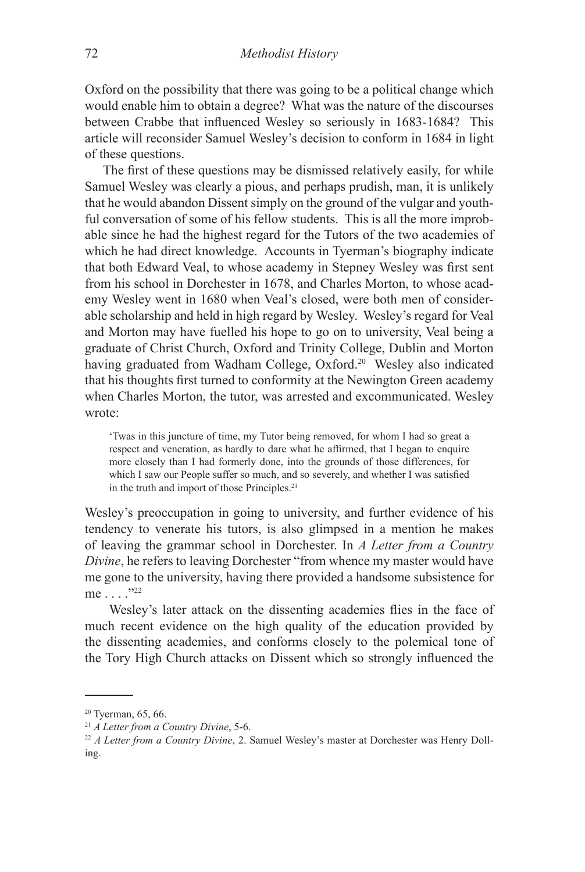Oxford on the possibility that there was going to be a political change which would enable him to obtain a degree? What was the nature of the discourses between Crabbe that influenced Wesley so seriously in 1683-1684? This article will reconsider Samuel Wesley's decision to conform in 1684 in light of these questions.

The first of these questions may be dismissed relatively easily, for while Samuel Wesley was clearly a pious, and perhaps prudish, man, it is unlikely that he would abandon Dissent simply on the ground of the vulgar and youthful conversation of some of his fellow students. This is all the more improbable since he had the highest regard for the Tutors of the two academies of which he had direct knowledge. Accounts in Tyerman's biography indicate that both Edward Veal, to whose academy in Stepney Wesley was first sent from his school in Dorchester in 1678, and Charles Morton, to whose academy Wesley went in 1680 when Veal's closed, were both men of considerable scholarship and held in high regard by Wesley. Wesley's regard for Veal and Morton may have fuelled his hope to go on to university, Veal being a graduate of Christ Church, Oxford and Trinity College, Dublin and Morton having graduated from Wadham College, Oxford.<sup>20</sup> Wesley also indicated that his thoughts first turned to conformity at the Newington Green academy when Charles Morton, the tutor, was arrested and excommunicated. Wesley wrote:

'Twas in this juncture of time, my Tutor being removed, for whom I had so great a respect and veneration, as hardly to dare what he affirmed, that I began to enquire more closely than I had formerly done, into the grounds of those differences, for which I saw our People suffer so much, and so severely, and whether I was satisfied in the truth and import of those Principles.<sup>21</sup>

Wesley's preoccupation in going to university, and further evidence of his tendency to venerate his tutors, is also glimpsed in a mention he makes of leaving the grammar school in Dorchester. In *A Letter from a Country Divine*, he refers to leaving Dorchester "from whence my master would have me gone to the university, having there provided a handsome subsistence for me . . . ."22

Wesley's later attack on the dissenting academies flies in the face of much recent evidence on the high quality of the education provided by the dissenting academies, and conforms closely to the polemical tone of the Tory High Church attacks on Dissent which so strongly influenced the

<sup>&</sup>lt;sup>20</sup> Tyerman, 65, 66.

<sup>21</sup> *A Letter from a Country Divine*, 5-6.

<sup>22</sup> *A Letter from a Country Divine*, 2. Samuel Wesley's master at Dorchester was Henry Dolling.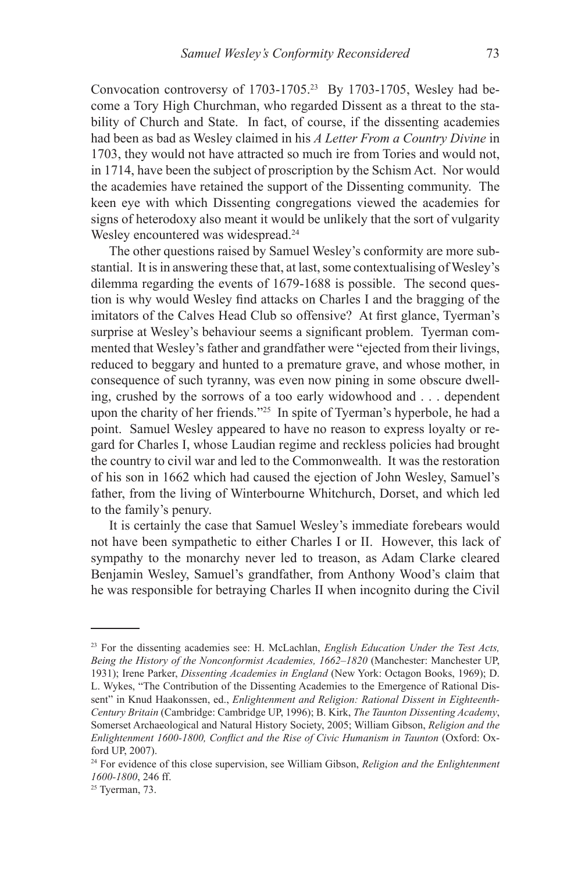Convocation controversy of 1703-1705.<sup>23</sup> By 1703-1705, Wesley had become a Tory High Churchman, who regarded Dissent as a threat to the stability of Church and State. In fact, of course, if the dissenting academies had been as bad as Wesley claimed in his *A Letter From a Country Divine* in 1703, they would not have attracted so much ire from Tories and would not, in 1714, have been the subject of proscription by the Schism Act. Nor would the academies have retained the support of the Dissenting community. The keen eye with which Dissenting congregations viewed the academies for signs of heterodoxy also meant it would be unlikely that the sort of vulgarity Wesley encountered was widespread.<sup>24</sup>

The other questions raised by Samuel Wesley's conformity are more substantial. It is in answering these that, at last, some contextualising of Wesley's dilemma regarding the events of 1679-1688 is possible. The second question is why would Wesley find attacks on Charles I and the bragging of the imitators of the Calves Head Club so offensive? At first glance, Tyerman's surprise at Wesley's behaviour seems a significant problem. Tyerman commented that Wesley's father and grandfather were "ejected from their livings, reduced to beggary and hunted to a premature grave, and whose mother, in consequence of such tyranny, was even now pining in some obscure dwelling, crushed by the sorrows of a too early widowhood and . . . dependent upon the charity of her friends."25 In spite of Tyerman's hyperbole, he had a point. Samuel Wesley appeared to have no reason to express loyalty or regard for Charles I, whose Laudian regime and reckless policies had brought the country to civil war and led to the Commonwealth. It was the restoration of his son in 1662 which had caused the ejection of John Wesley, Samuel's father, from the living of Winterbourne Whitchurch, Dorset, and which led to the family's penury.

It is certainly the case that Samuel Wesley's immediate forebears would not have been sympathetic to either Charles I or II. However, this lack of sympathy to the monarchy never led to treason, as Adam Clarke cleared Benjamin Wesley, Samuel's grandfather, from Anthony Wood's claim that he was responsible for betraying Charles II when incognito during the Civil

<sup>23</sup> For the dissenting academies see: H. McLachlan, *English Education Under the Test Acts, Being the History of the Nonconformist Academies, 1662–1820* (Manchester: Manchester UP, 1931); Irene Parker, *Dissenting Academies in England* (New York: Octagon Books, 1969); D. L. Wykes, "The Contribution of the Dissenting Academies to the Emergence of Rational Dissent" in Knud Haakonssen, ed., *Enlightenment and Religion: Rational Dissent in Eighteenth-Century Britain* (Cambridge: Cambridge UP, 1996); B. Kirk, *The Taunton Dissenting Academy*, Somerset Archaeological and Natural History Society, 2005; William Gibson, *Religion and the Enlightenment 1600-1800, Conflict and the Rise of Civic Humanism in Taunton* (Oxford: Oxford UP, 2007).

<sup>24</sup> For evidence of this close supervision, see William Gibson, *Religion and the Enlightenment 1600-1800*, 246 ff.

<sup>25</sup> Tyerman, 73.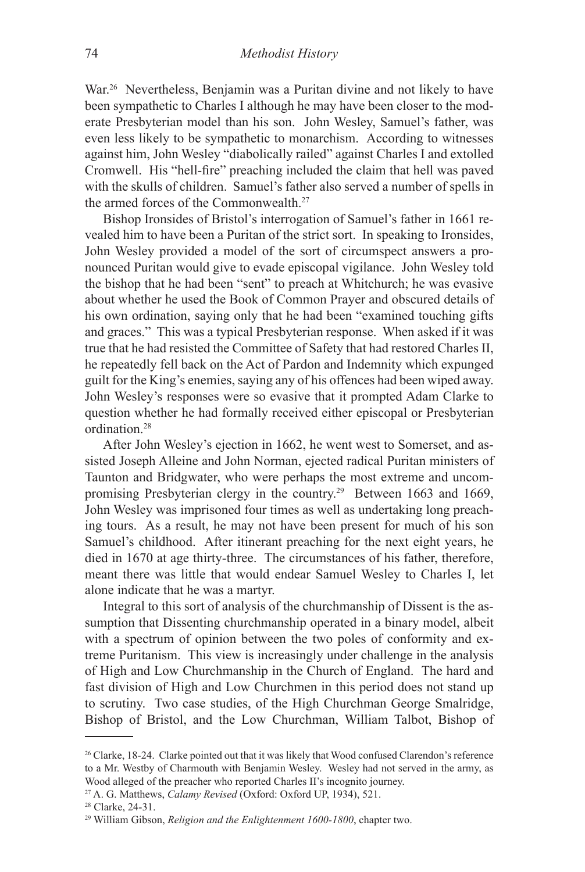War.<sup>26</sup> Nevertheless, Benjamin was a Puritan divine and not likely to have been sympathetic to Charles I although he may have been closer to the moderate Presbyterian model than his son. John Wesley, Samuel's father, was even less likely to be sympathetic to monarchism. According to witnesses against him, John Wesley "diabolically railed" against Charles I and extolled Cromwell. His "hell-fire" preaching included the claim that hell was paved with the skulls of children. Samuel's father also served a number of spells in the armed forces of the Commonwealth.27

Bishop Ironsides of Bristol's interrogation of Samuel's father in 1661 revealed him to have been a Puritan of the strict sort. In speaking to Ironsides, John Wesley provided a model of the sort of circumspect answers a pronounced Puritan would give to evade episcopal vigilance. John Wesley told the bishop that he had been "sent" to preach at Whitchurch; he was evasive about whether he used the Book of Common Prayer and obscured details of his own ordination, saying only that he had been "examined touching gifts and graces." This was a typical Presbyterian response. When asked if it was true that he had resisted the Committee of Safety that had restored Charles II, he repeatedly fell back on the Act of Pardon and Indemnity which expunged guilt for the King's enemies, saying any of his offences had been wiped away. John Wesley's responses were so evasive that it prompted Adam Clarke to question whether he had formally received either episcopal or Presbyterian ordination.28

After John Wesley's ejection in 1662, he went west to Somerset, and assisted Joseph Alleine and John Norman, ejected radical Puritan ministers of Taunton and Bridgwater, who were perhaps the most extreme and uncompromising Presbyterian clergy in the country.29 Between 1663 and 1669, John Wesley was imprisoned four times as well as undertaking long preaching tours. As a result, he may not have been present for much of his son Samuel's childhood. After itinerant preaching for the next eight years, he died in 1670 at age thirty-three. The circumstances of his father, therefore, meant there was little that would endear Samuel Wesley to Charles I, let alone indicate that he was a martyr.

Integral to this sort of analysis of the churchmanship of Dissent is the assumption that Dissenting churchmanship operated in a binary model, albeit with a spectrum of opinion between the two poles of conformity and extreme Puritanism. This view is increasingly under challenge in the analysis of High and Low Churchmanship in the Church of England. The hard and fast division of High and Low Churchmen in this period does not stand up to scrutiny. Two case studies, of the High Churchman George Smalridge, Bishop of Bristol, and the Low Churchman, William Talbot, Bishop of

<sup>&</sup>lt;sup>26</sup> Clarke, 18-24. Clarke pointed out that it was likely that Wood confused Clarendon's reference to a Mr. Westby of Charmouth with Benjamin Wesley. Wesley had not served in the army, as Wood alleged of the preacher who reported Charles II's incognito journey.

<sup>27</sup> A. G. Matthews, *Calamy Revised* (Oxford: Oxford UP, 1934), 521.

<sup>28</sup> Clarke, 24-31.

<sup>29</sup> William Gibson, *Religion and the Enlightenment 1600-1800*, chapter two.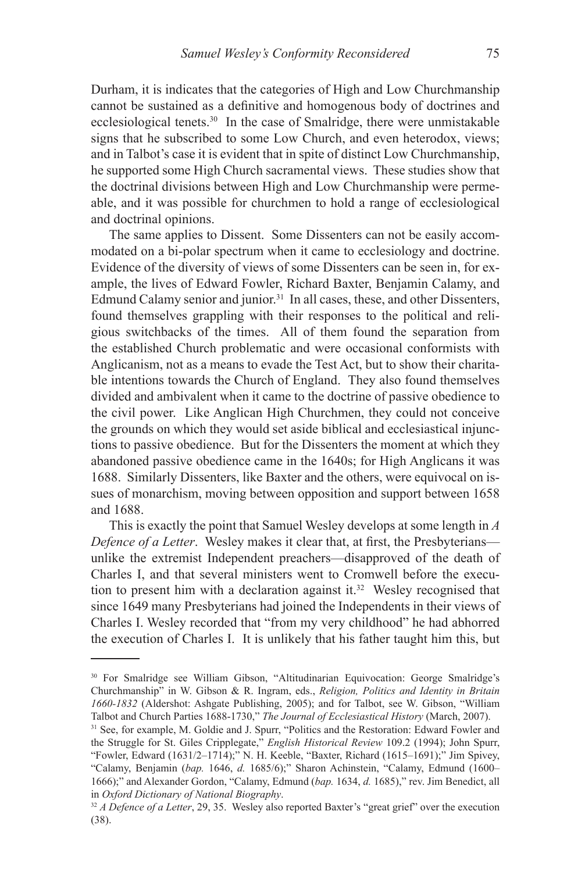Durham, it is indicates that the categories of High and Low Churchmanship cannot be sustained as a definitive and homogenous body of doctrines and ecclesiological tenets.30 In the case of Smalridge, there were unmistakable signs that he subscribed to some Low Church, and even heterodox, views; and in Talbot's case it is evident that in spite of distinct Low Churchmanship, he supported some High Church sacramental views. These studies show that the doctrinal divisions between High and Low Churchmanship were permeable, and it was possible for churchmen to hold a range of ecclesiological and doctrinal opinions.

The same applies to Dissent. Some Dissenters can not be easily accommodated on a bi-polar spectrum when it came to ecclesiology and doctrine. Evidence of the diversity of views of some Dissenters can be seen in, for example, the lives of Edward Fowler, Richard Baxter, Benjamin Calamy, and Edmund Calamy senior and junior.<sup>31</sup> In all cases, these, and other Dissenters, found themselves grappling with their responses to the political and religious switchbacks of the times. All of them found the separation from the established Church problematic and were occasional conformists with Anglicanism, not as a means to evade the Test Act, but to show their charitable intentions towards the Church of England. They also found themselves divided and ambivalent when it came to the doctrine of passive obedience to the civil power. Like Anglican High Churchmen, they could not conceive the grounds on which they would set aside biblical and ecclesiastical injunctions to passive obedience. But for the Dissenters the moment at which they abandoned passive obedience came in the 1640s; for High Anglicans it was 1688. Similarly Dissenters, like Baxter and the others, were equivocal on issues of monarchism, moving between opposition and support between 1658 and 1688.

This is exactly the point that Samuel Wesley develops at some length in *A Defence of a Letter*. Wesley makes it clear that, at first, the Presbyterians unlike the extremist Independent preachers—disapproved of the death of Charles I, and that several ministers went to Cromwell before the execution to present him with a declaration against it.<sup>32</sup> Wesley recognised that since 1649 many Presbyterians had joined the Independents in their views of Charles I. Wesley recorded that "from my very childhood" he had abhorred the execution of Charles I. It is unlikely that his father taught him this, but

<sup>30</sup> For Smalridge see William Gibson, "Altitudinarian Equivocation: George Smalridge's Churchmanship" in W. Gibson & R. Ingram, eds., *Religion, Politics and Identity in Britain 1660-1832* (Aldershot: Ashgate Publishing, 2005); and for Talbot, see W. Gibson, "William Talbot and Church Parties 1688-1730," *The Journal of Ecclesiastical History* (March, 2007).

<sup>31</sup> See, for example, M. Goldie and J. Spurr, "Politics and the Restoration: Edward Fowler and the Struggle for St. Giles Cripplegate," *English Historical Review* 109.2 (1994); John Spurr, "Fowler, Edward (1631/2–1714);" N. H. Keeble, "Baxter, Richard (1615–1691);" Jim Spivey, "Calamy, Benjamin (*bap.* 1646, *d.* 1685/6);" Sharon Achinstein, "Calamy, Edmund (1600– 1666);" and Alexander Gordon, "Calamy, Edmund (*bap.* 1634, *d.* 1685)," rev. Jim Benedict, all

<sup>&</sup>lt;sup>32</sup> *A Defence of a Letter*, 29, 35. Wesley also reported Baxter's "great grief" over the execution (38).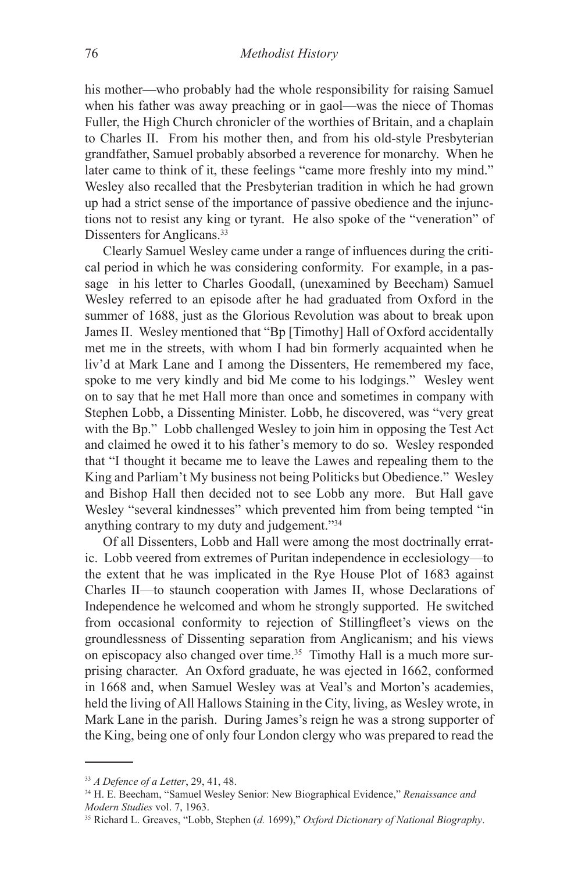his mother—who probably had the whole responsibility for raising Samuel when his father was away preaching or in gaol—was the niece of Thomas Fuller, the High Church chronicler of the worthies of Britain, and a chaplain to Charles II. From his mother then, and from his old-style Presbyterian grandfather, Samuel probably absorbed a reverence for monarchy. When he later came to think of it, these feelings "came more freshly into my mind." Wesley also recalled that the Presbyterian tradition in which he had grown up had a strict sense of the importance of passive obedience and the injunctions not to resist any king or tyrant. He also spoke of the "veneration" of Dissenters for Anglicans.<sup>33</sup>

Clearly Samuel Wesley came under a range of influences during the critical period in which he was considering conformity. For example, in a passage in his letter to Charles Goodall, (unexamined by Beecham) Samuel Wesley referred to an episode after he had graduated from Oxford in the summer of 1688, just as the Glorious Revolution was about to break upon James II. Wesley mentioned that "Bp [Timothy] Hall of Oxford accidentally met me in the streets, with whom I had bin formerly acquainted when he liv'd at Mark Lane and I among the Dissenters, He remembered my face, spoke to me very kindly and bid Me come to his lodgings." Wesley went on to say that he met Hall more than once and sometimes in company with Stephen Lobb, a Dissenting Minister. Lobb, he discovered, was "very great with the Bp." Lobb challenged Wesley to join him in opposing the Test Act and claimed he owed it to his father's memory to do so. Wesley responded that "I thought it became me to leave the Lawes and repealing them to the King and Parliam't My business not being Politicks but Obedience." Wesley and Bishop Hall then decided not to see Lobb any more. But Hall gave Wesley "several kindnesses" which prevented him from being tempted "in anything contrary to my duty and judgement."34

Of all Dissenters, Lobb and Hall were among the most doctrinally erratic. Lobb veered from extremes of Puritan independence in ecclesiology—to the extent that he was implicated in the Rye House Plot of 1683 against Charles II—to staunch cooperation with James II, whose Declarations of Independence he welcomed and whom he strongly supported. He switched from occasional conformity to rejection of Stillingfleet's views on the groundlessness of Dissenting separation from Anglicanism; and his views on episcopacy also changed over time.<sup>35</sup> Timothy Hall is a much more surprising character. An Oxford graduate, he was ejected in 1662, conformed in 1668 and, when Samuel Wesley was at Veal's and Morton's academies, held the living of All Hallows Staining in the City, living, as Wesley wrote, in Mark Lane in the parish. During James's reign he was a strong supporter of the King, being one of only four London clergy who was prepared to read the

<sup>33</sup> *A Defence of a Letter*, 29, 41, 48.

<sup>34</sup> H. E. Beecham, "Samuel Wesley Senior: New Biographical Evidence," *Renaissance and Modern Studies* vol. 7, 1963.

<sup>35</sup> Richard L. Greaves, "Lobb, Stephen (*d.* 1699)," *Oxford Dictionary of National Biography*.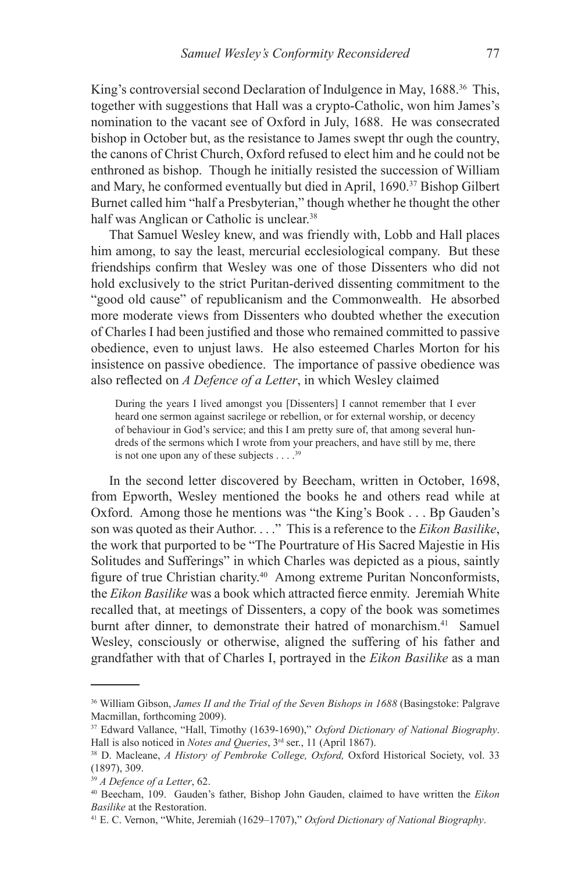King's controversial second Declaration of Indulgence in May, 1688.<sup>36</sup> This, together with suggestions that Hall was a crypto-Catholic, won him James's nomination to the vacant see of Oxford in July, 1688. He was consecrated bishop in October but, as the resistance to James swept thr ough the country, the canons of Christ Church, Oxford refused to elect him and he could not be enthroned as bishop. Though he initially resisted the succession of William and Mary, he conformed eventually but died in April, 1690.37 Bishop Gilbert Burnet called him "half a Presbyterian," though whether he thought the other half was Anglican or Catholic is unclear.<sup>38</sup>

That Samuel Wesley knew, and was friendly with, Lobb and Hall places him among, to say the least, mercurial ecclesiological company. But these friendships confirm that Wesley was one of those Dissenters who did not hold exclusively to the strict Puritan-derived dissenting commitment to the "good old cause" of republicanism and the Commonwealth. He absorbed more moderate views from Dissenters who doubted whether the execution of Charles I had been justified and those who remained committed to passive obedience, even to unjust laws. He also esteemed Charles Morton for his insistence on passive obedience. The importance of passive obedience was also reflected on *A Defence of a Letter*, in which Wesley claimed

During the years I lived amongst you [Dissenters] I cannot remember that I ever heard one sermon against sacrilege or rebellion, or for external worship, or decency of behaviour in God's service; and this I am pretty sure of, that among several hundreds of the sermons which I wrote from your preachers, and have still by me, there is not one upon any of these subjects  $\dots$ .<sup>39</sup>

In the second letter discovered by Beecham, written in October, 1698, from Epworth, Wesley mentioned the books he and others read while at Oxford. Among those he mentions was "the King's Book . . . Bp Gauden's son was quoted as their Author. . . ." This is a reference to the *Eikon Basilike*, the work that purported to be "The Pourtrature of His Sacred Majestie in His Solitudes and Sufferings" in which Charles was depicted as a pious, saintly figure of true Christian charity.40 Among extreme Puritan Nonconformists, the *Eikon Basilike* was a book which attracted fierce enmity. Jeremiah White recalled that, at meetings of Dissenters, a copy of the book was sometimes burnt after dinner, to demonstrate their hatred of monarchism.41 Samuel Wesley, consciously or otherwise, aligned the suffering of his father and grandfather with that of Charles I, portrayed in the *Eikon Basilike* as a man

<sup>36</sup> William Gibson, *James II and the Trial of the Seven Bishops in 1688* (Basingstoke: Palgrave Macmillan, forthcoming 2009).

<sup>37</sup> Edward Vallance, "Hall, Timothy (1639-1690)," *Oxford Dictionary of National Biography*. Hall is also noticed in *Notes and Queries*, 3rd ser., 11 (April 1867).

<sup>38</sup> D. Macleane, *A History of Pembroke College, Oxford,* Oxford Historical Society, vol. 33 (1897), 309.

<sup>39</sup> *A Defence of a Letter*, 62.

<sup>40</sup> Beecham, 109. Gauden's father, Bishop John Gauden, claimed to have written the *Eikon Basilike* at the Restoration.

<sup>41</sup> E. C. Vernon, "White, Jeremiah (1629–1707)," *Oxford Dictionary of National Biography*.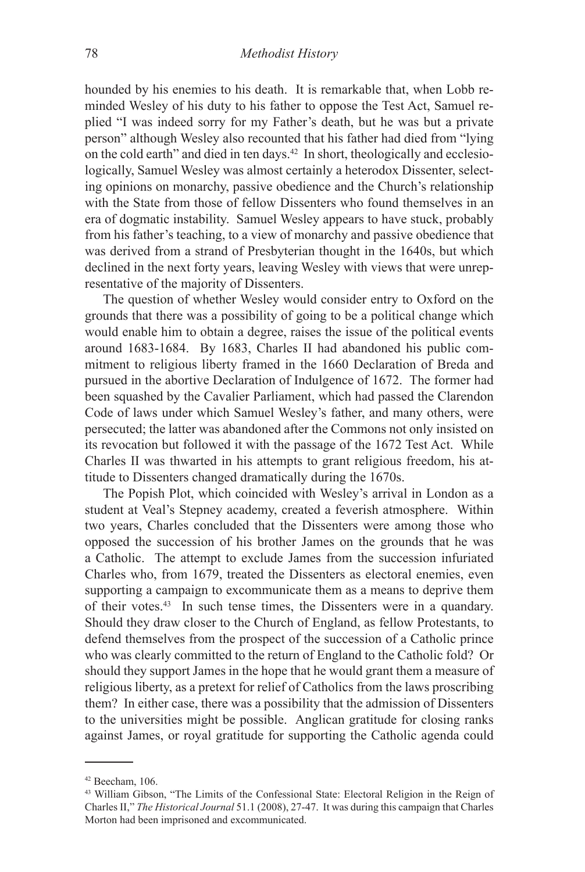hounded by his enemies to his death. It is remarkable that, when Lobb reminded Wesley of his duty to his father to oppose the Test Act, Samuel replied "I was indeed sorry for my Father's death, but he was but a private person" although Wesley also recounted that his father had died from "lying on the cold earth" and died in ten days.42 In short, theologically and ecclesiologically, Samuel Wesley was almost certainly a heterodox Dissenter, selecting opinions on monarchy, passive obedience and the Church's relationship with the State from those of fellow Dissenters who found themselves in an era of dogmatic instability. Samuel Wesley appears to have stuck, probably from his father's teaching, to a view of monarchy and passive obedience that was derived from a strand of Presbyterian thought in the 1640s, but which declined in the next forty years, leaving Wesley with views that were unrepresentative of the majority of Dissenters.

The question of whether Wesley would consider entry to Oxford on the grounds that there was a possibility of going to be a political change which would enable him to obtain a degree, raises the issue of the political events around 1683-1684. By 1683, Charles II had abandoned his public commitment to religious liberty framed in the 1660 Declaration of Breda and pursued in the abortive Declaration of Indulgence of 1672. The former had been squashed by the Cavalier Parliament, which had passed the Clarendon Code of laws under which Samuel Wesley's father, and many others, were persecuted; the latter was abandoned after the Commons not only insisted on its revocation but followed it with the passage of the 1672 Test Act. While Charles II was thwarted in his attempts to grant religious freedom, his attitude to Dissenters changed dramatically during the 1670s.

The Popish Plot, which coincided with Wesley's arrival in London as a student at Veal's Stepney academy, created a feverish atmosphere. Within two years, Charles concluded that the Dissenters were among those who opposed the succession of his brother James on the grounds that he was a Catholic. The attempt to exclude James from the succession infuriated Charles who, from 1679, treated the Dissenters as electoral enemies, even supporting a campaign to excommunicate them as a means to deprive them of their votes.43 In such tense times, the Dissenters were in a quandary. Should they draw closer to the Church of England, as fellow Protestants, to defend themselves from the prospect of the succession of a Catholic prince who was clearly committed to the return of England to the Catholic fold? Or should they support James in the hope that he would grant them a measure of religious liberty, as a pretext for relief of Catholics from the laws proscribing them? In either case, there was a possibility that the admission of Dissenters to the universities might be possible. Anglican gratitude for closing ranks against James, or royal gratitude for supporting the Catholic agenda could

<sup>42</sup> Beecham, 106.

<sup>43</sup> William Gibson, "The Limits of the Confessional State: Electoral Religion in the Reign of Charles II," *The Historical Journal* 51.1 (2008), 27-47. It was during this campaign that Charles Morton had been imprisoned and excommunicated.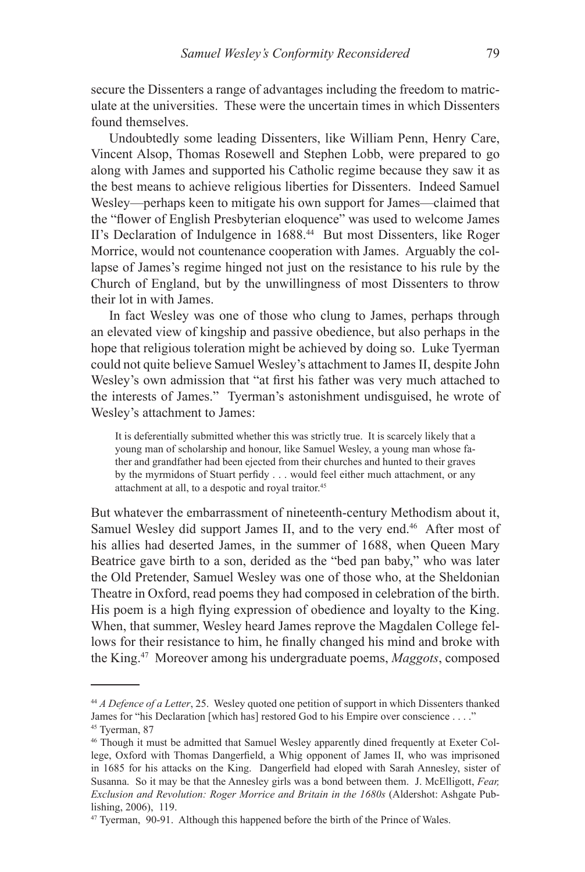secure the Dissenters a range of advantages including the freedom to matriculate at the universities. These were the uncertain times in which Dissenters found themselves.

Undoubtedly some leading Dissenters, like William Penn, Henry Care, Vincent Alsop, Thomas Rosewell and Stephen Lobb, were prepared to go along with James and supported his Catholic regime because they saw it as the best means to achieve religious liberties for Dissenters. Indeed Samuel Wesley—perhaps keen to mitigate his own support for James—claimed that the "flower of English Presbyterian eloquence" was used to welcome James II's Declaration of Indulgence in 1688.<sup>44</sup> But most Dissenters, like Roger Morrice, would not countenance cooperation with James. Arguably the collapse of James's regime hinged not just on the resistance to his rule by the Church of England, but by the unwillingness of most Dissenters to throw their lot in with James.

In fact Wesley was one of those who clung to James, perhaps through an elevated view of kingship and passive obedience, but also perhaps in the hope that religious toleration might be achieved by doing so. Luke Tyerman could not quite believe Samuel Wesley's attachment to James II, despite John Wesley's own admission that "at first his father was very much attached to the interests of James." Tyerman's astonishment undisguised, he wrote of Wesley's attachment to James:

It is deferentially submitted whether this was strictly true. It is scarcely likely that a young man of scholarship and honour, like Samuel Wesley, a young man whose father and grandfather had been ejected from their churches and hunted to their graves by the myrmidons of Stuart perfidy . . . would feel either much attachment, or any attachment at all, to a despotic and royal traitor.<sup>45</sup>

But whatever the embarrassment of nineteenth-century Methodism about it, Samuel Wesley did support James II, and to the very end.<sup>46</sup> After most of his allies had deserted James, in the summer of 1688, when Queen Mary Beatrice gave birth to a son, derided as the "bed pan baby," who was later the Old Pretender, Samuel Wesley was one of those who, at the Sheldonian Theatre in Oxford, read poems they had composed in celebration of the birth. His poem is a high flying expression of obedience and loyalty to the King. When, that summer, Wesley heard James reprove the Magdalen College fellows for their resistance to him, he finally changed his mind and broke with the King.47 Moreover among his undergraduate poems, *Maggots*, composed

<sup>44</sup> *A Defence of a Letter*, 25. Wesley quoted one petition of support in which Dissenters thanked James for "his Declaration [which has] restored God to his Empire over conscience . . . ." <sup>45</sup> Tyerman, 87

<sup>46</sup> Though it must be admitted that Samuel Wesley apparently dined frequently at Exeter College, Oxford with Thomas Dangerfield, a Whig opponent of James II, who was imprisoned in 1685 for his attacks on the King. Dangerfield had eloped with Sarah Annesley, sister of Susanna. So it may be that the Annesley girls was a bond between them. J. McElligott, *Fear, Exclusion and Revolution: Roger Morrice and Britain in the 1680s* (Aldershot: Ashgate Publishing, 2006), 119.

<sup>47</sup> Tyerman, 90-91. Although this happened before the birth of the Prince of Wales.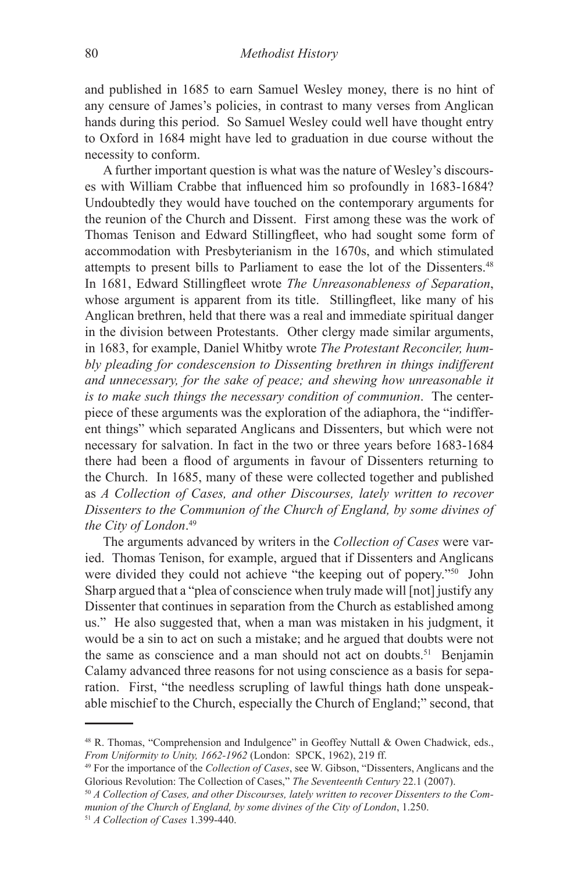and published in 1685 to earn Samuel Wesley money, there is no hint of any censure of James's policies, in contrast to many verses from Anglican hands during this period. So Samuel Wesley could well have thought entry to Oxford in 1684 might have led to graduation in due course without the necessity to conform.

A further important question is what was the nature of Wesley's discourses with William Crabbe that influenced him so profoundly in 1683-1684? Undoubtedly they would have touched on the contemporary arguments for the reunion of the Church and Dissent. First among these was the work of Thomas Tenison and Edward Stillingfleet, who had sought some form of accommodation with Presbyterianism in the 1670s, and which stimulated attempts to present bills to Parliament to ease the lot of the Dissenters.<sup>48</sup> In 1681, Edward Stillingfleet wrote *The Unreasonableness of Separation*, whose argument is apparent from its title. Stillingfleet, like many of his Anglican brethren, held that there was a real and immediate spiritual danger in the division between Protestants. Other clergy made similar arguments, in 1683, for example, Daniel Whitby wrote *The Protestant Reconciler, humbly pleading for condescension to Dissenting brethren in things indifferent and unnecessary, for the sake of peace; and shewing how unreasonable it is to make such things the necessary condition of communion*. The centerpiece of these arguments was the exploration of the adiaphora, the "indifferent things" which separated Anglicans and Dissenters, but which were not necessary for salvation. In fact in the two or three years before 1683-1684 there had been a flood of arguments in favour of Dissenters returning to the Church. In 1685, many of these were collected together and published as *A Collection of Cases, and other Discourses, lately written to recover Dissenters to the Communion of the Church of England, by some divines of the City of London*. 49

The arguments advanced by writers in the *Collection of Cases* were varied. Thomas Tenison, for example, argued that if Dissenters and Anglicans were divided they could not achieve "the keeping out of popery."<sup>50</sup> John Sharp argued that a "plea of conscience when truly made will [not] justify any Dissenter that continues in separation from the Church as established among us." He also suggested that, when a man was mistaken in his judgment, it would be a sin to act on such a mistake; and he argued that doubts were not the same as conscience and a man should not act on doubts.<sup>51</sup> Benjamin Calamy advanced three reasons for not using conscience as a basis for separation. First, "the needless scrupling of lawful things hath done unspeakable mischief to the Church, especially the Church of England;" second, that

<sup>48</sup> R. Thomas, "Comprehension and Indulgence" in Geoffey Nuttall & Owen Chadwick, eds., *From Uniformity to Unity, 1662-1962* (London: SPCK, 1962), 219 ff.

<sup>49</sup> For the importance of the *Collection of Cases*, see W. Gibson, "Dissenters, Anglicans and the Glorious Revolution: The Collection of Cases," *The Seventeenth Century* 22.1 (2007).

<sup>50</sup> *A Collection of Cases, and other Discourses, lately written to recover Dissenters to the Communion of the Church of England, by some divines of the City of London*, 1.250. <sup>51</sup> *A Collection of Cases* 1.399-440.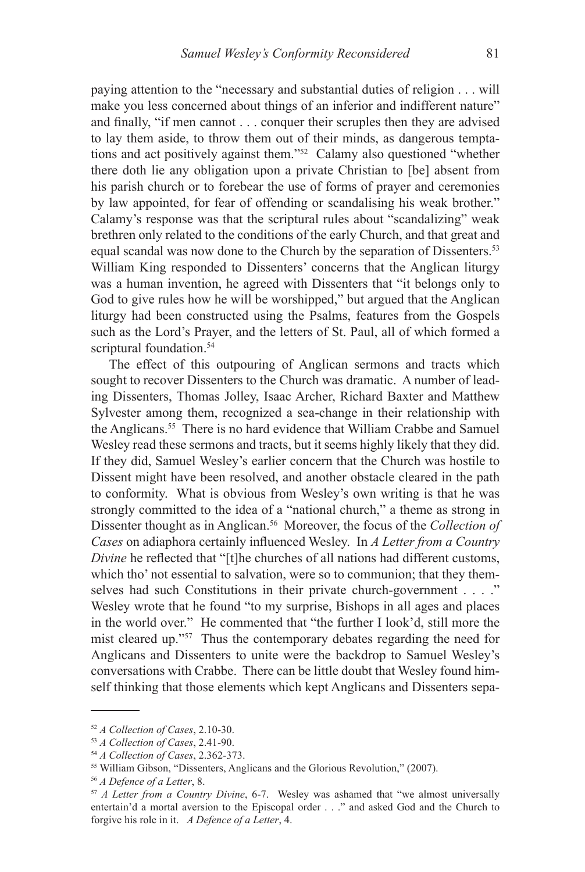paying attention to the "necessary and substantial duties of religion . . . will make you less concerned about things of an inferior and indifferent nature" and finally, "if men cannot . . . conquer their scruples then they are advised to lay them aside, to throw them out of their minds, as dangerous temptations and act positively against them."52 Calamy also questioned "whether there doth lie any obligation upon a private Christian to [be] absent from his parish church or to forebear the use of forms of prayer and ceremonies by law appointed, for fear of offending or scandalising his weak brother." Calamy's response was that the scriptural rules about "scandalizing" weak brethren only related to the conditions of the early Church, and that great and equal scandal was now done to the Church by the separation of Dissenters.<sup>53</sup> William King responded to Dissenters' concerns that the Anglican liturgy was a human invention, he agreed with Dissenters that "it belongs only to God to give rules how he will be worshipped," but argued that the Anglican liturgy had been constructed using the Psalms, features from the Gospels such as the Lord's Prayer, and the letters of St. Paul, all of which formed a scriptural foundation.<sup>54</sup>

The effect of this outpouring of Anglican sermons and tracts which sought to recover Dissenters to the Church was dramatic. A number of leading Dissenters, Thomas Jolley, Isaac Archer, Richard Baxter and Matthew Sylvester among them, recognized a sea-change in their relationship with the Anglicans.55 There is no hard evidence that William Crabbe and Samuel Wesley read these sermons and tracts, but it seems highly likely that they did. If they did, Samuel Wesley's earlier concern that the Church was hostile to Dissent might have been resolved, and another obstacle cleared in the path to conformity. What is obvious from Wesley's own writing is that he was strongly committed to the idea of a "national church," a theme as strong in Dissenter thought as in Anglican.<sup>56</sup> Moreover, the focus of the *Collection of Cases* on adiaphora certainly influenced Wesley. In *A Letter from a Country Divine* he reflected that "[t]he churches of all nations had different customs, which tho' not essential to salvation, were so to communion; that they themselves had such Constitutions in their private church-government . . . ." Wesley wrote that he found "to my surprise, Bishops in all ages and places in the world over." He commented that "the further I look'd, still more the mist cleared up."57 Thus the contemporary debates regarding the need for Anglicans and Dissenters to unite were the backdrop to Samuel Wesley's conversations with Crabbe. There can be little doubt that Wesley found himself thinking that those elements which kept Anglicans and Dissenters sepa-

<sup>52</sup> *A Collection of Cases*, 2.10-30.

<sup>53</sup> *A Collection of Cases*, 2.41-90.

<sup>54</sup> *A Collection of Cases*, 2.362-373.

<sup>55</sup> William Gibson, "Dissenters, Anglicans and the Glorious Revolution," (2007).

<sup>56</sup> *A Defence of a Letter*, 8.

<sup>57</sup> *A Letter from a Country Divine*, 6-7. Wesley was ashamed that "we almost universally entertain'd a mortal aversion to the Episcopal order . . ." and asked God and the Church to forgive his role in it. *A Defence of a Letter*, 4.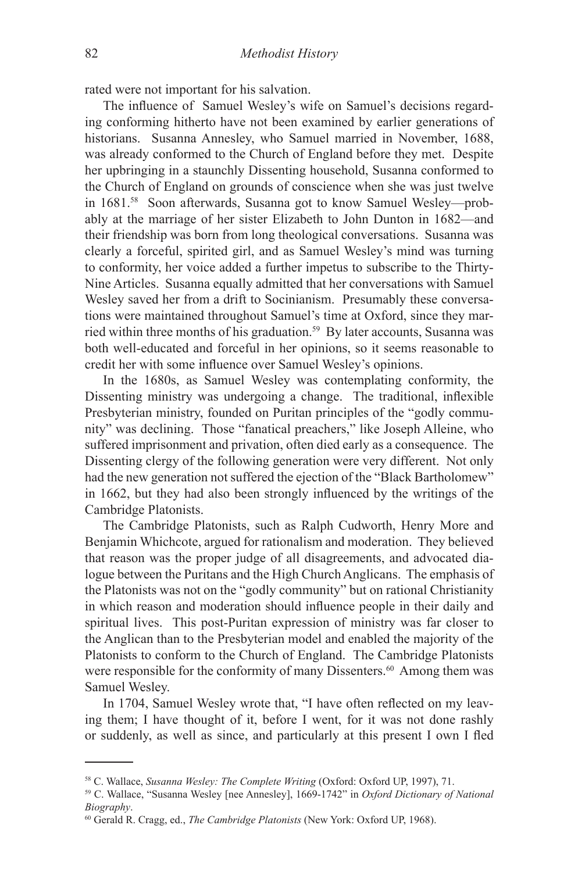rated were not important for his salvation.

The influence of Samuel Wesley's wife on Samuel's decisions regarding conforming hitherto have not been examined by earlier generations of historians. Susanna Annesley, who Samuel married in November, 1688, was already conformed to the Church of England before they met. Despite her upbringing in a staunchly Dissenting household, Susanna conformed to the Church of England on grounds of conscience when she was just twelve in 1681.58 Soon afterwards, Susanna got to know Samuel Wesley—probably at the marriage of her sister Elizabeth to John Dunton in 1682—and their friendship was born from long theological conversations. Susanna was clearly a forceful, spirited girl, and as Samuel Wesley's mind was turning to conformity, her voice added a further impetus to subscribe to the Thirty-Nine Articles. Susanna equally admitted that her conversations with Samuel Wesley saved her from a drift to Socinianism. Presumably these conversations were maintained throughout Samuel's time at Oxford, since they married within three months of his graduation.<sup>59</sup> By later accounts, Susanna was both well-educated and forceful in her opinions, so it seems reasonable to credit her with some influence over Samuel Wesley's opinions.

In the 1680s, as Samuel Wesley was contemplating conformity, the Dissenting ministry was undergoing a change. The traditional, inflexible Presbyterian ministry, founded on Puritan principles of the "godly community" was declining. Those "fanatical preachers," like Joseph Alleine, who suffered imprisonment and privation, often died early as a consequence. The Dissenting clergy of the following generation were very different. Not only had the new generation not suffered the ejection of the "Black Bartholomew" in 1662, but they had also been strongly influenced by the writings of the Cambridge Platonists.

The Cambridge Platonists, such as Ralph Cudworth, Henry More and Benjamin Whichcote, argued for rationalism and moderation. They believed that reason was the proper judge of all disagreements, and advocated dialogue between the Puritans and the High Church Anglicans. The emphasis of the Platonists was not on the "godly community" but on rational Christianity in which reason and moderation should influence people in their daily and spiritual lives. This post-Puritan expression of ministry was far closer to the Anglican than to the Presbyterian model and enabled the majority of the Platonists to conform to the Church of England. The Cambridge Platonists were responsible for the conformity of many Dissenters.<sup>60</sup> Among them was Samuel Wesley.

In 1704, Samuel Wesley wrote that, "I have often reflected on my leaving them; I have thought of it, before I went, for it was not done rashly or suddenly, as well as since, and particularly at this present I own I fled

<sup>58</sup> C. Wallace, *Susanna Wesley: The Complete Writing* (Oxford: Oxford UP, 1997), 71.

<sup>59</sup> C. Wallace, "Susanna Wesley [nee Annesley], 1669-1742" in *Oxford Dictionary of National Biography*.

<sup>60</sup> Gerald R. Cragg, ed., *The Cambridge Platonists* (New York: Oxford UP, 1968).